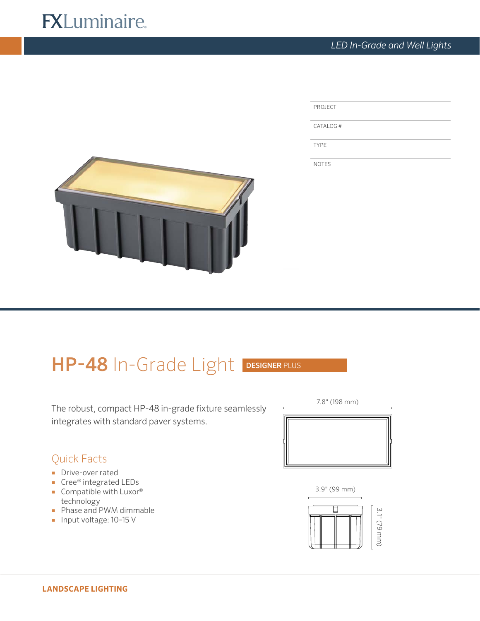# **FXLuminaire.**

PROJECT CATALOG # TYPE NOTES



# HP-48 In-Grade Light DESIGNER PLUS

The robust, compact HP-48 in-grade fixture seamlessly integrates with standard paver systems.



- Drive-over rated
- Cree® integrated LEDs
- Compatible with Luxor<sup>®</sup> technology
- Phase and PWM dimmable
- Input voltage: 10-15 V



3.9" (99 mm)

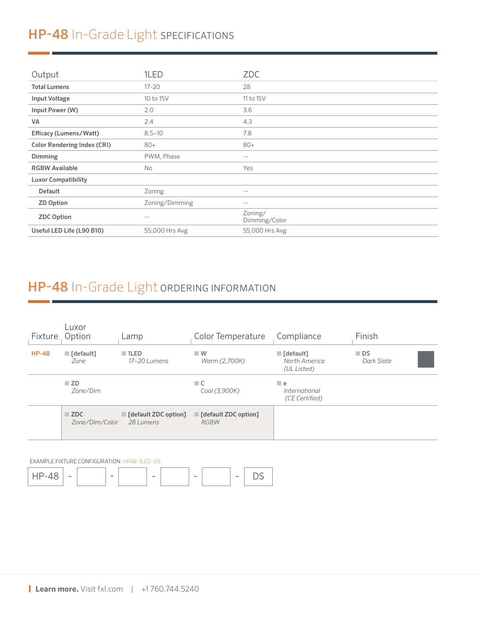## HP-48 In-Grade Light SPECIFICATIONS

| Output                             | 1LED           | <b>ZDC</b>               |
|------------------------------------|----------------|--------------------------|
| <b>Total Lumens</b>                | $17 - 20$      | 28                       |
| <b>Input Voltage</b>               | 10 to 15V      | 11 to 15V                |
| Input Power (W)                    | 2.0            | 3.6                      |
| VA                                 | 2.4            | 4.3                      |
| Efficacy (Lumens/Watt)             | $8.5 - 10$     | 7.8                      |
| <b>Color Rendering Index (CRI)</b> | $80+$          | $80+$                    |
| Dimming                            | PWM, Phase     | $- -$                    |
| <b>RGBW Available</b>              | No             | Yes                      |
| <b>Luxor Compatibility</b>         |                |                          |
| <b>Default</b>                     | Zoning         | $ -$                     |
| <b>ZD Option</b>                   | Zoning/Dimming | $ -$                     |
| <b>ZDC Option</b>                  | $ -$           | Zoning/<br>Dimming/Color |
| Useful LED Life (L90 B10)          | 55,000 Hrs Avg | 55,000 Hrs Avg           |

## HP-48 In-Grade Light ORDERING INFORMATION